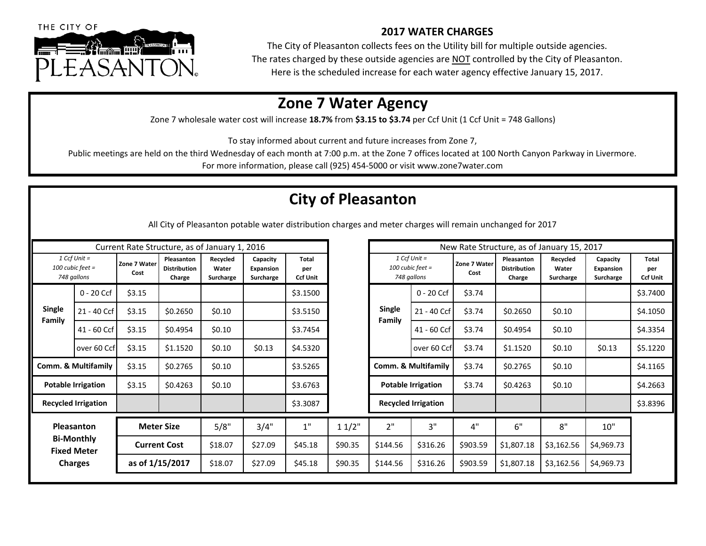

## **2017 WATER CHARGES**

The City of Pleasanton collects fees on the Utility bill for multiple outside agencies. The rates charged by these outside agencies are NOT controlled by the City of Pleasanton. Here is the scheduled increase for each water agency effective January 15, 2017.

## **Zone 7 Water Agency**

Zone 7 wholesale water cost will increase 18.7% from \$3.15 to \$3.74 per Ccf Unit (1 Ccf Unit = 748 Gallons)

To stay informed about current and future increases from Zone 7,

Public meetings are held on the third Wednesday of each month at 7:00 p.m. at the Zone 7 offices located at 100 North Canyon Parkway in Livermore.

For more information, please call (925) 454-5000 or visit www.zone7water.com

## **City of Pleasanton**

All City of Pleasanton potable water distribution charges and meter charges will remain unchanged for 2017

| Current Rate Structure, as of January 1, 2016                           |              |                                          |                                             |                                |                                    |                                        |                  | New Rate Structure, as of January 15, 2017 |                                                     |                |                                             |                                |                                           |                                        |  |
|-------------------------------------------------------------------------|--------------|------------------------------------------|---------------------------------------------|--------------------------------|------------------------------------|----------------------------------------|------------------|--------------------------------------------|-----------------------------------------------------|----------------|---------------------------------------------|--------------------------------|-------------------------------------------|----------------------------------------|--|
| $1 Ccf$ Unit =<br>$100$ cubic feet =<br>748 gallons                     |              | Zone 7 Water<br>Cost                     | Pleasanton<br><b>Distribution</b><br>Charge | Recycled<br>Water<br>Surcharge | Capacity<br>Expansion<br>Surcharge | <b>Total</b><br>per<br><b>Ccf Unit</b> |                  |                                            | $1 Ccf$ Unit =<br>$100$ cubic feet =<br>748 gallons |                | Pleasanton<br><b>Distribution</b><br>Charge | Recycled<br>Water<br>Surcharge | Capacity<br><b>Expansion</b><br>Surcharge | <b>Total</b><br>per<br><b>Ccf Unit</b> |  |
|                                                                         | $0 - 20$ Ccf | \$3.15                                   |                                             |                                |                                    | \$3.1500                               |                  | <b>Single</b><br>Family                    | $0 - 20$ Ccf                                        | \$3.74         |                                             |                                |                                           | \$3.7400                               |  |
| <b>Single</b><br>Family                                                 | 21 - 40 Ccf  | \$3.15                                   | \$0.2650                                    | \$0.10                         |                                    | \$3.5150                               |                  |                                            | 21 - 40 Ccf                                         | \$3.74         | \$0.2650                                    | \$0.10                         |                                           | \$4.1050                               |  |
|                                                                         | 41 - 60 Ccf  | \$3.15                                   | \$0.4954                                    | \$0.10                         |                                    | \$3.7454                               |                  |                                            | 41 - 60 Ccf                                         | \$3.74         | \$0.4954                                    | \$0.10                         |                                           | \$4.3354                               |  |
|                                                                         | over 60 Ccf  | \$3.15                                   | \$1.1520                                    | \$0.10                         | \$0.13                             | \$4.5320                               |                  |                                            | over 60 Ccf                                         | \$3.74         | \$1.1520                                    | \$0.10                         | \$0.13                                    | \$5.1220                               |  |
| <b>Comm. &amp; Multifamily</b>                                          |              | \$3.15                                   | \$0.2765                                    | \$0.10                         |                                    | \$3.5265                               |                  | Comm. & Multifamily                        |                                                     | \$3.74         | \$0.2765                                    | \$0.10                         |                                           | \$4.1165                               |  |
| <b>Potable Irrigation</b>                                               |              | \$3.15                                   | \$0.4263                                    | \$0.10                         |                                    | \$3.6763                               |                  | <b>Potable Irrigation</b>                  |                                                     | \$3.74         | \$0.4263                                    | \$0.10                         |                                           | \$4.2663                               |  |
| <b>Recycled Irrigation</b>                                              |              |                                          |                                             |                                |                                    | \$3.3087                               |                  | <b>Recycled Irrigation</b>                 |                                                     |                |                                             |                                |                                           | \$3.8396                               |  |
| Pleasanton<br><b>Bi-Monthly</b><br><b>Fixed Meter</b><br><b>Charges</b> |              | <b>Meter Size</b><br><b>Current Cost</b> |                                             | 5/8"<br>\$18.07                | 3/4"<br>\$27.09                    | $1"$<br>\$45.18                        | 11/2"<br>\$90.35 | 2"<br>\$144.56                             | 3"<br>\$316.26                                      | 4"<br>\$903.59 | 6"<br>\$1,807.18                            | 8"<br>\$3,162.56               | 10"<br>\$4,969.73                         |                                        |  |
|                                                                         |              | as of 1/15/2017                          |                                             | \$18.07                        | \$27.09                            | \$45.18                                | \$90.35          | \$144.56                                   | \$316.26                                            | \$903.59       | \$1,807.18                                  | \$3,162.56                     | \$4,969.73                                |                                        |  |